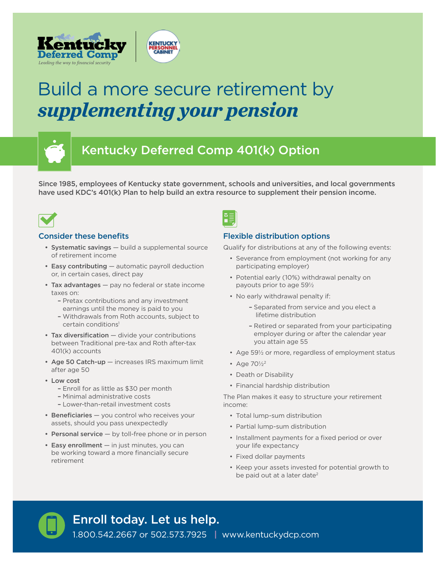

# Build a more secure retirement by *supplementing your pension*



## Kentucky Deferred Comp 401(k) Option

Since 1985, employees of Kentucky state government, schools and universities, and local governments have used KDC's 401(k) Plan to help build an extra resource to supplement their pension income.



#### Consider these benefits

- Systematic savings build a supplemental source of retirement income
- Easy contributing automatic payroll deduction or, in certain cases, direct pay
- Tax advantages pay no federal or state income taxes on:
	- Pretax contributions and any investment earnings until the money is paid to you
	- Withdrawals from Roth accounts, subject to certain conditions<sup>1</sup>
- Tax diversification divide your contributions between Traditional pre-tax and Roth after-tax 401(k) accounts
- Age 50 Catch-up increases IRS maximum limit after age 50
- Low cost
	- Enroll for as little as \$30 per month
	- Minimal administrative costs
	- Lower-than-retail investment costs
- Beneficiaries you control who receives your assets, should you pass unexpectedly
- Personal service by toll-free phone or in person
- Easy enrollment in just minutes, you can be working toward a more financially secure retirement



#### Flexible distribution options

Qualify for distributions at any of the following events:

- Severance from employment (not working for any participating employer)
- Potential early (10%) withdrawal penalty on payouts prior to age 59½
- No early withdrawal penalty if:
	- Separated from service and you elect a lifetime distribution
	- Retired or separated from your participating employer during or after the calendar year you attain age 55
- Age 59½ or more, regardless of employment status
- Age 70½2
- Death or Disability
- Financial hardship distribution

The Plan makes it easy to structure your retirement income:

- Total lump-sum distribution
- Partial lump-sum distribution
- Installment payments for a fixed period or over your life expectancy
- Fixed dollar payments
- Keep your assets invested for potential growth to be paid out at a later date<sup>2</sup>

Enroll today. Let us help.